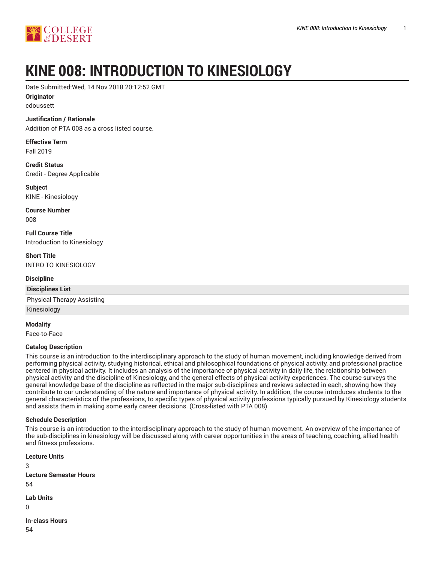

# **KINE 008: INTRODUCTION TO KINESIOLOGY**

Date Submitted:Wed, 14 Nov 2018 20:12:52 GMT

**Originator** cdoussett

### **Justification / Rationale**

Addition of PTA 008 as a cross listed course.

**Effective Term** Fall 2019

**Credit Status** Credit - Degree Applicable

**Subject** KINE - Kinesiology

**Course Number** 008

**Full Course Title** Introduction to Kinesiology

**Short Title** INTRO TO KINESIOLOGY

#### **Discipline**

**Disciplines List**

Physical Therapy Assisting Kinesiology

**Modality**

Face-to-Face

#### **Catalog Description**

This course is an introduction to the interdisciplinary approach to the study of human movement, including knowledge derived from performing physical activity, studying historical, ethical and philosophical foundations of physical activity, and professional practice centered in physical activity. It includes an analysis of the importance of physical activity in daily life, the relationship between physical activity and the discipline of Kinesiology, and the general effects of physical activity experiences. The course surveys the general knowledge base of the discipline as reflected in the major sub-disciplines and reviews selected in each, showing how they contribute to our understanding of the nature and importance of physical activity. In addition, the course introduces students to the general characteristics of the professions, to specific types of physical activity professions typically pursued by Kinesiology students and assists them in making some early career decisions. (Cross-listed with PTA 008)

#### **Schedule Description**

This course is an introduction to the interdisciplinary approach to the study of human movement. An overview of the importance of the sub-disciplines in kinesiology will be discussed along with career opportunities in the areas of teaching, coaching, allied health and fitness professions.

**Lecture Units** 3 **Lecture Semester Hours** 54 **Lab Units**  $\Omega$ 

**In-class Hours** 54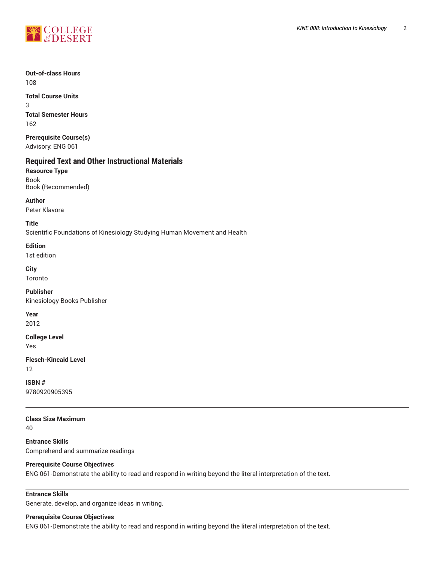

#### **Out-of-class Hours** 108

**Total Course Units** 3 **Total Semester Hours** 162

**Prerequisite Course(s)** Advisory: ENG 061

# **Required Text and Other Instructional Materials**

**Resource Type** Book Book (Recommended)

**Author**

Peter Klavora

**Title**

Scientific Foundations of Kinesiology Studying Human Movement and Health

**Edition**

1st edition

**City** Toronto

**Publisher** Kinesiology Books Publisher

**Year** 2012

**College Level**

Yes

**Flesch-Kincaid Level** 12

**ISBN #** 9780920905395

**Class Size Maximum** 40

**Entrance Skills** Comprehend and summarize readings

#### **Prerequisite Course Objectives**

ENG 061-Demonstrate the ability to read and respond in writing beyond the literal interpretation of the text.

### **Entrance Skills**

Generate, develop, and organize ideas in writing.

#### **Prerequisite Course Objectives**

ENG 061-Demonstrate the ability to read and respond in writing beyond the literal interpretation of the text.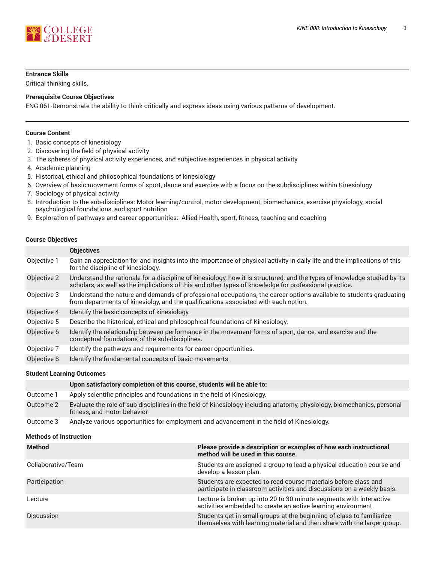

#### **Entrance Skills**

Critical thinking skills.

#### **Prerequisite Course Objectives**

ENG 061-Demonstrate the ability to think critically and express ideas using various patterns of development.

#### **Course Content**

- 1. Basic concepts of kinesiology
- 2. Discovering the field of physical activity
- 3. The spheres of physical activity experiences, and subjective experiences in physical activity
- 4. Academic planning
- 5. Historical, ethical and philosophical foundations of kinesiology
- 6. Overview of basic movement forms of sport, dance and exercise with a focus on the subdisciplines within Kinesiology
- 7. Sociology of physical activity
- 8. Introduction to the sub-disciplines: Motor learning/control, motor development, biomechanics, exercise physiology, social psychological foundations, and sport nutrition
- 9. Exploration of pathways and career opportunities: Allied Health, sport, fitness, teaching and coaching

#### **Course Objectives**

|             | <b>Objectives</b>                                                                                                                                                                                                                  |
|-------------|------------------------------------------------------------------------------------------------------------------------------------------------------------------------------------------------------------------------------------|
| Objective 1 | Gain an appreciation for and insights into the importance of physical activity in daily life and the implications of this<br>for the discipline of kinesiology.                                                                    |
| Objective 2 | Understand the rationale for a discipline of kinesiology, how it is structured, and the types of knowledge studied by its<br>scholars, as well as the implications of this and other types of knowledge for professional practice. |
| Objective 3 | Understand the nature and demands of professional occupations, the career options available to students graduating<br>from departments of kinesiolgy, and the qualifications associated with each option.                          |
| Objective 4 | Identify the basic concepts of kinesiology.                                                                                                                                                                                        |
| Objective 5 | Describe the historical, ethical and philosophical foundations of Kinesiology.                                                                                                                                                     |
| Objective 6 | Identify the relationship between performance in the movement forms of sport, dance, and exercise and the<br>conceptual foundations of the sub-disciplines.                                                                        |
| Objective 7 | Identify the pathways and requirements for career opportunities.                                                                                                                                                                   |
| Objective 8 | Identify the fundamental concepts of basic movements.                                                                                                                                                                              |

#### **Student Learning Outcomes**

|           | Upon satisfactory completion of this course, students will be able to:                                                                                 |
|-----------|--------------------------------------------------------------------------------------------------------------------------------------------------------|
| Outcome 1 | Apply scientific principles and foundations in the field of Kinesiology.                                                                               |
| Outcome 2 | Evaluate the role of sub disciplines in the field of Kinesiology including anatomy, physiology, biomechanics, personal<br>fitness, and motor behavior. |
| Outcome 3 | Analyze various opportunities for employment and advancement in the field of Kinesiology.                                                              |

#### **Methods of Instruction**

| <b>Method</b>      | Please provide a description or examples of how each instructional<br>method will be used in this course.                                        |
|--------------------|--------------------------------------------------------------------------------------------------------------------------------------------------|
| Collaborative/Team | Students are assigned a group to lead a physical education course and<br>develop a lesson plan.                                                  |
| Participation      | Students are expected to read course materials before class and<br>participate in classroom activities and discussions on a weekly basis.        |
| Lecture            | Lecture is broken up into 20 to 30 minute segments with interactive<br>activities embedded to create an active learning environment.             |
| <b>Discussion</b>  | Students get in small groups at the beginning of class to familiarize<br>themselves with learning material and then share with the larger group. |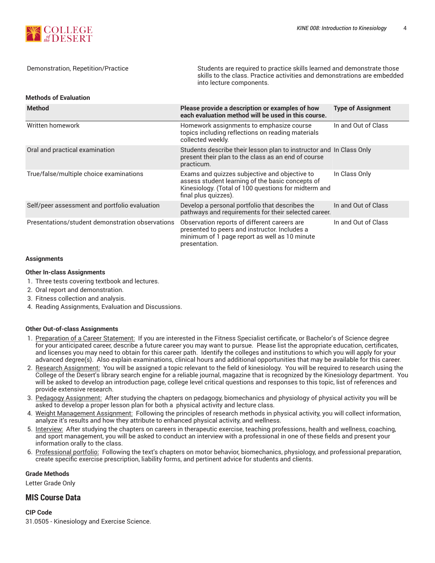

Demonstration, Repetition/Practice Students are required to practice skills learned and demonstrate those skills to the class. Practice activities and demonstrations are embedded into lecture components.

#### **Methods of Evaluation**

| <b>Method</b>                                    | Please provide a description or examples of how<br>each evaluation method will be used in this course.                                                                            | <b>Type of Assignment</b> |
|--------------------------------------------------|-----------------------------------------------------------------------------------------------------------------------------------------------------------------------------------|---------------------------|
| Written homework                                 | Homework assignments to emphasize course<br>topics including reflections on reading materials<br>collected weekly.                                                                | In and Out of Class       |
| Oral and practical examination                   | Students describe their lesson plan to instructor and In Class Only<br>present their plan to the class as an end of course<br>practicum.                                          |                           |
| True/false/multiple choice examinations          | Exams and quizzes subjective and objective to<br>assess student learning of the basic concepts of<br>Kinesiology. (Total of 100 questions for midterm and<br>final plus quizzes). | In Class Only             |
| Self/peer assessment and portfolio evaluation    | Develop a personal portfolio that describes the<br>pathways and requirements for their selected career.                                                                           | In and Out of Class       |
| Presentations/student demonstration observations | Observation reports of different careers are<br>presented to peers and instructor. Includes a<br>minimum of 1 page report as well as 10 minute<br>presentation.                   | In and Out of Class       |

#### **Assignments**

#### **Other In-class Assignments**

- 1. Three tests covering textbook and lectures.
- 2. Oral report and demonstration.
- 3. Fitness collection and analysis.
- 4. Reading Assignments, Evaluation and Discussions.

#### **Other Out-of-class Assignments**

- 1. Preparation of a Career Statement: If you are interested in the Fitness Specialist certificate, or Bachelor's of Science degree for your anticipated career, describe a future career you may want to pursue. Please list the appropriate education, certificates, and licenses you may need to obtain for this career path. Identify the colleges and institutions to which you will apply for your advanced degree(s). Also explain examinations, clinical hours and additional opportunities that may be available for this career.
- 2. Research Assignment: You will be assigned a topic relevant to the field of kinesiology. You will be required to research using the College of the Desert's library search engine for a reliable journal, magazine that is recognized by the Kinesiology department. You will be asked to develop an introduction page, college level critical questions and responses to this topic, list of references and provide extensive research.
- 3. Pedagogy Assignment: After studying the chapters on pedagogy, biomechanics and physiology of physical activity you will be asked to develop a proper lesson plan for both a physical activity and lecture class.
- 4. Weight Management Assignment: Following the principles of research methods in physical activity, you will collect information, analyze it's results and how they attribute to enhanced physical activity, and wellness.
- 5. Interview: After studying the chapters on careers in therapeutic exercise, teaching professions, health and wellness, coaching, and sport management, you will be asked to conduct an interview with a professional in one of these fields and present your information orally to the class.
- 6. Professional portfolio: Following the text's chapters on motor behavior, biomechanics, physiology, and professional preparation, create specific exercise prescription, liability forms, and pertinent advice for students and clients.

#### **Grade Methods**

Letter Grade Only

#### **MIS Course Data**

**CIP Code** 31.0505 - Kinesiology and Exercise Science.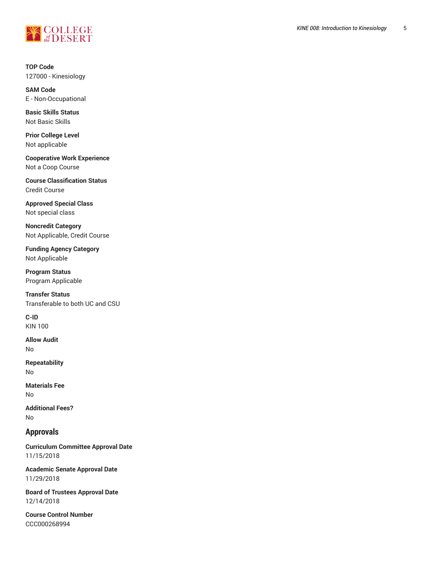

**TOP Code** 127000 - Kinesiology

**SAM Code** E - Non-Occupational

**Basic Skills Status** Not Basic Skills

**Prior College Level** Not applicable

**Cooperative Work Experience** Not a Coop Course

**Course Classification Status** Credit Course

**Approved Special Class** Not special class

**Noncredit Category** Not Applicable, Credit Course

**Funding Agency Category** Not Applicable

**Program Status** Program Applicable

**Transfer Status** Transferable to both UC and CSU

**C-ID** KIN 100

**Allow Audit** No

**Repeatability** No

**Materials Fee** No

**Additional Fees?** No

## **Approvals**

**Curriculum Committee Approval Date** 11/15/2018

**Academic Senate Approval Date** 11/29/2018

**Board of Trustees Approval Date** 12/14/2018

**Course Control Number** CCC000268994